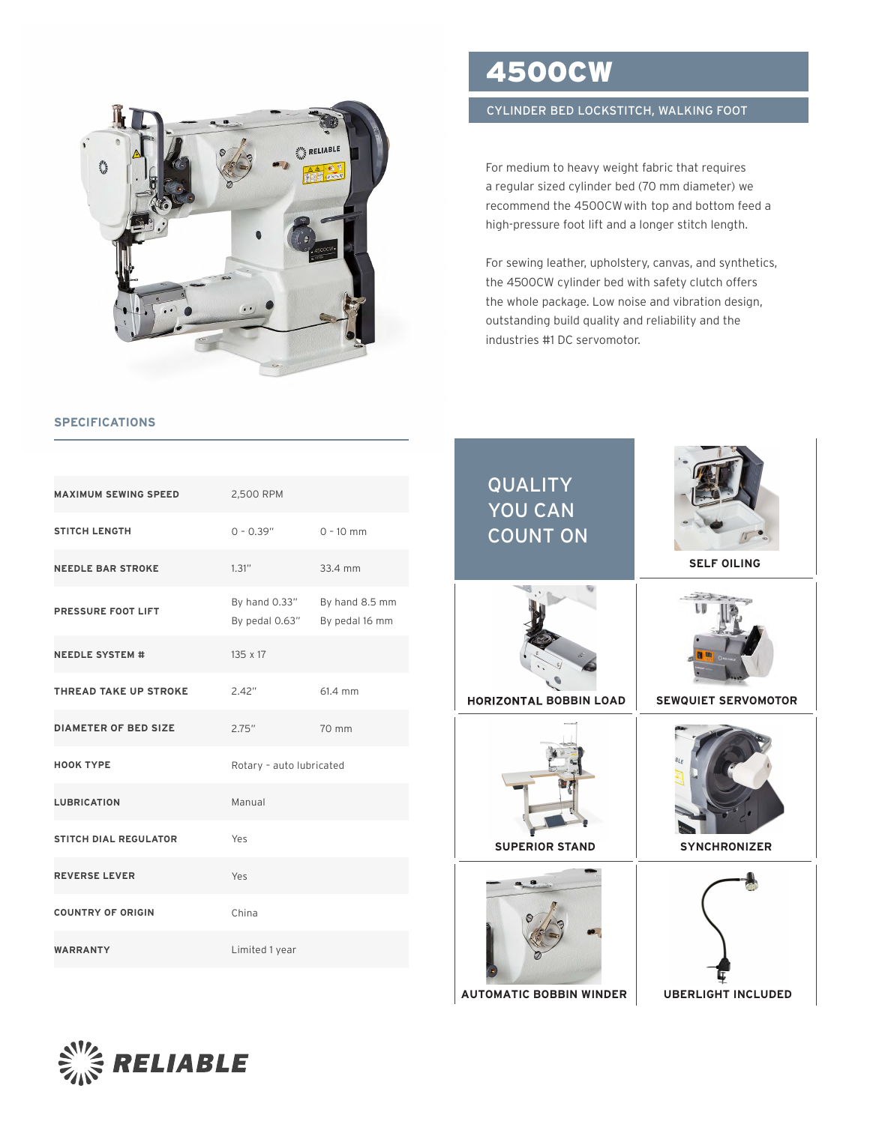

## **SPECIFICATIONS**

| <b>MAXIMUM SEWING SPEED</b>  | 2,500 RPM                       |                                  |
|------------------------------|---------------------------------|----------------------------------|
| <b>STITCH LENGTH</b>         | $0 - 0.39"$                     | $0 - 10$ mm                      |
| <b>NEEDLE BAR STROKE</b>     | 1.31''                          | 33.4 mm                          |
| PRESSURE FOOT LIFT           | By hand 0.33"<br>By pedal 0.63" | By hand 8.5 mm<br>By pedal 16 mm |
| <b>NEEDLE SYSTEM #</b>       | $135 \times 17$                 |                                  |
| THREAD TAKE UP STROKE        | 2.42"                           | 61.4 mm                          |
| <b>DIAMETER OF BED SIZE</b>  | 2.75"                           | 70 mm                            |
| <b>HOOK TYPE</b>             | Rotary - auto lubricated        |                                  |
| <b>LUBRICATION</b>           | Manual                          |                                  |
| <b>STITCH DIAL REGULATOR</b> | Yes                             |                                  |
| <b>REVERSE LEVER</b>         | Yes                             |                                  |
| <b>COUNTRY OF ORIGIN</b>     | China                           |                                  |
| <b>WARRANTY</b>              | Limited 1 year                  |                                  |

## 4500CW

## CYLINDER BED LOCKSTITCH, WALKING FOOT

For medium to heavy weight fabric that requires a regular sized cylinder bed (70 mm diameter) we recommend the 4500CWwith top and bottom feed a high-pressure foot lift and a longer stitch length.

For sewing leather, upholstery, canvas, and synthetics, the 4500CW cylinder bed with safety clutch offers the whole package. Low noise and vibration design, outstanding build quality and reliability and the industries #1 DC servomotor.

| <b>QUALITY</b><br>YOU CAN<br><b>COUNT ON</b> | <b>SELF OILING</b>         |
|----------------------------------------------|----------------------------|
| <b>HORIZONTAL BOBBIN LOAD</b>                | <b>SEWQUIET SERVOMOTOR</b> |
| <b>SUPERIOR STAND</b>                        | BLF<br><b>SYNCHRONIZER</b> |
| <b>AUTOMATIC BOBBIN WINDER</b>               | <b>UBERLIGHT INCLUDED</b>  |